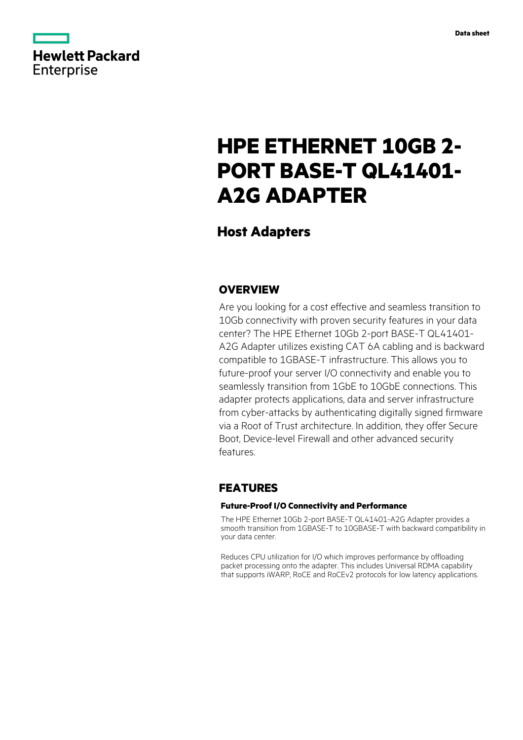

# **HPE ETHERNET 10GB 2- PORT BASE-T QL41401- A2G ADAPTER**

# **Host Adapters**

## **OVERVIEW**

Are you looking for a cost effective and seamless transition to 10Gb connectivity with proven security features in your data center? The HPE Ethernet 10Gb 2-port BASE-T QL41401- A2G Adapter utilizes existing CAT 6A cabling and is backward compatible to 1GBASE-T infrastructure. This allows you to future-proof your server I/O connectivity and enable you to seamlessly transition from 1GbE to 10GbE connections. This adapter protects applications, data and server infrastructure from cyber-attacks by authenticating digitally signed firmware via a Root of Trust architecture. In addition, they offer Secure Boot, Device-level Firewall and other advanced security features.

# **FEATURES**

### **Future-Proof I/O Connectivity and Performance**

The HPE Ethernet 10Gb 2-port BASE-T QL41401-A2G Adapter provides a smooth transition from 1GBASE-T to 10GBASE-T with backward compatibility in your data center.

Reduces CPU utilization for I/O which improves performance by offloading packet processing onto the adapter. This includes Universal RDMA capability that supports iWARP, RoCE and RoCEv2 protocols for low latency applications.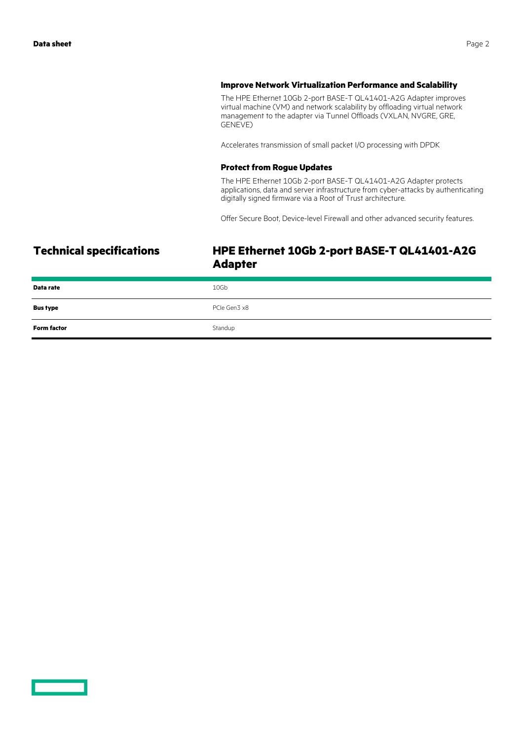#### **Improve Network Virtualization Performance and Scalability**

The HPE Ethernet 10Gb 2-port BASE-T QL41401-A2G Adapter improves virtual machine (VM) and network scalability by offloading virtual network management to the adapter via Tunnel Offloads (VXLAN, NVGRE, GRE, GENEVE)

Accelerates transmission of small packet I/O processing with DPDK

#### **Protect from Rogue Updates**

The HPE Ethernet 10Gb 2-port BASE-T QL41401-A2G Adapter protects applications, data and server infrastructure from cyber-attacks by authenticating digitally signed firmware via a Root of Trust architecture.

Offer Secure Boot, Device-level Firewall and other advanced security features.

# **Technical specifications HPE Ethernet 10Gb 2-port BASE-T QL41401-A2G Adapter**

| Data rate          | 10Gb         |
|--------------------|--------------|
| <b>Bus type</b>    | PCIe Gen3 x8 |
| <b>Form factor</b> | Standup      |